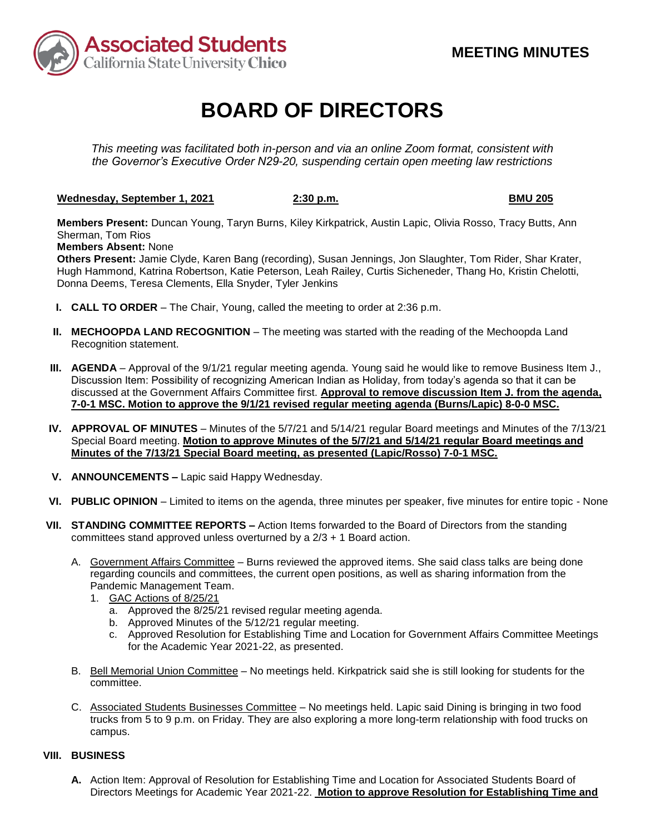

## **BOARD OF DIRECTORS**

*This meeting was facilitated both in-person and via an online Zoom format, consistent with the Governor's Executive Order N29-20, suspending certain open meeting law restrictions*

**Wednesday, September 1, 2021 2:30 p.m. BMU 205**

**Members Present:** Duncan Young, Taryn Burns, Kiley Kirkpatrick, Austin Lapic, Olivia Rosso, Tracy Butts, Ann Sherman, Tom Rios

**Members Absent:** None

**Others Present:** Jamie Clyde, Karen Bang (recording), Susan Jennings, Jon Slaughter, Tom Rider, Shar Krater, Hugh Hammond, Katrina Robertson, Katie Peterson, Leah Railey, Curtis Sicheneder, Thang Ho, Kristin Chelotti, Donna Deems, Teresa Clements, Ella Snyder, Tyler Jenkins

- **I. CALL TO ORDER** The Chair, Young, called the meeting to order at 2:36 p.m.
- **II. MECHOOPDA LAND RECOGNITION** The meeting was started with the reading of the Mechoopda Land Recognition statement.
- **III. AGENDA** Approval of the 9/1/21 regular meeting agenda. Young said he would like to remove Business Item J., Discussion Item: Possibility of recognizing American Indian as Holiday, from today's agenda so that it can be discussed at the Government Affairs Committee first. **Approval to remove discussion Item J. from the agenda, 7-0-1 MSC. Motion to approve the 9/1/21 revised regular meeting agenda (Burns/Lapic) 8-0-0 MSC.**
- **IV. APPROVAL OF MINUTES** Minutes of the 5/7/21 and 5/14/21 regular Board meetings and Minutes of the 7/13/21 Special Board meeting. **Motion to approve Minutes of the 5/7/21 and 5/14/21 regular Board meetings and Minutes of the 7/13/21 Special Board meeting, as presented (Lapic/Rosso) 7-0-1 MSC.**
- **V. ANNOUNCEMENTS –** Lapic said Happy Wednesday.
- **VI. PUBLIC OPINION** Limited to items on the agenda, three minutes per speaker, five minutes for entire topic None
- **VII. STANDING COMMITTEE REPORTS –** Action Items forwarded to the Board of Directors from the standing committees stand approved unless overturned by a 2/3 + 1 Board action.
	- A. Government Affairs Committee Burns reviewed the approved items. She said class talks are being done regarding councils and committees, the current open positions, as well as sharing information from the Pandemic Management Team.
		- 1. GAC Actions of 8/25/21
			- a. Approved the 8/25/21 revised regular meeting agenda.
			- b. Approved Minutes of the 5/12/21 regular meeting.
			- c. Approved Resolution for Establishing Time and Location for Government Affairs Committee Meetings for the Academic Year 2021-22, as presented.
	- B. Bell Memorial Union Committee No meetings held. Kirkpatrick said she is still looking for students for the committee.
	- C. Associated Students Businesses Committee No meetings held. Lapic said Dining is bringing in two food trucks from 5 to 9 p.m. on Friday. They are also exploring a more long-term relationship with food trucks on campus.

## **VIII. BUSINESS**

**A.** Action Item: Approval of Resolution for Establishing Time and Location for Associated Students Board of Directors Meetings for Academic Year 2021-22. **Motion to approve Resolution for Establishing Time and**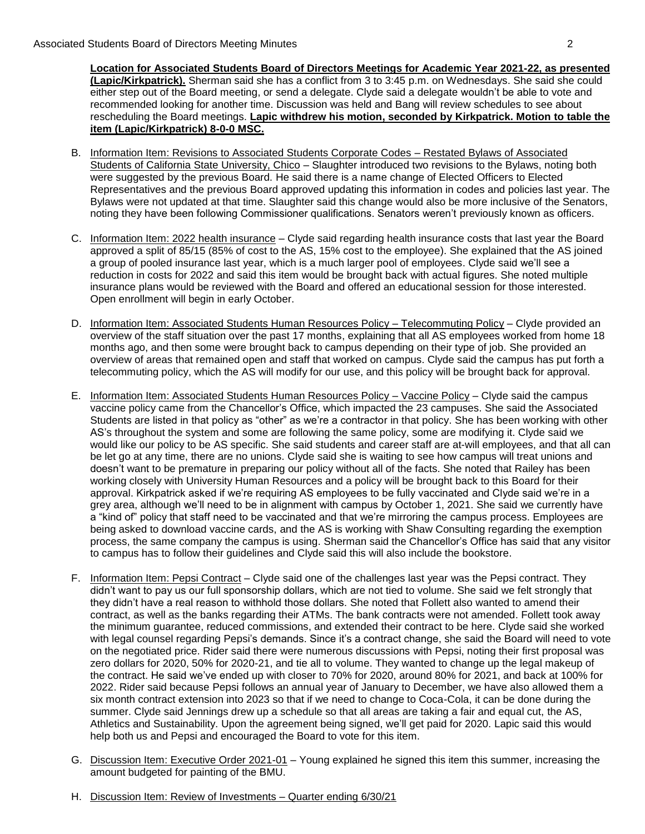**Location for Associated Students Board of Directors Meetings for Academic Year 2021-22, as presented (Lapic/Kirkpatrick).** Sherman said she has a conflict from 3 to 3:45 p.m. on Wednesdays. She said she could either step out of the Board meeting, or send a delegate. Clyde said a delegate wouldn't be able to vote and recommended looking for another time. Discussion was held and Bang will review schedules to see about rescheduling the Board meetings. **Lapic withdrew his motion, seconded by Kirkpatrick. Motion to table the item (Lapic/Kirkpatrick) 8-0-0 MSC.**

- B. Information Item: Revisions to Associated Students Corporate Codes Restated Bylaws of Associated Students of California State University, Chico – Slaughter introduced two revisions to the Bylaws, noting both were suggested by the previous Board. He said there is a name change of Elected Officers to Elected Representatives and the previous Board approved updating this information in codes and policies last year. The Bylaws were not updated at that time. Slaughter said this change would also be more inclusive of the Senators, noting they have been following Commissioner qualifications. Senators weren't previously known as officers.
- C. Information Item: 2022 health insurance Clyde said regarding health insurance costs that last year the Board approved a split of 85/15 (85% of cost to the AS, 15% cost to the employee). She explained that the AS joined a group of pooled insurance last year, which is a much larger pool of employees. Clyde said we'll see a reduction in costs for 2022 and said this item would be brought back with actual figures. She noted multiple insurance plans would be reviewed with the Board and offered an educational session for those interested. Open enrollment will begin in early October.
- D. Information Item: Associated Students Human Resources Policy Telecommuting Policy Clyde provided an overview of the staff situation over the past 17 months, explaining that all AS employees worked from home 18 months ago, and then some were brought back to campus depending on their type of job. She provided an overview of areas that remained open and staff that worked on campus. Clyde said the campus has put forth a telecommuting policy, which the AS will modify for our use, and this policy will be brought back for approval.
- E. Information Item: Associated Students Human Resources Policy Vaccine Policy Clyde said the campus vaccine policy came from the Chancellor's Office, which impacted the 23 campuses. She said the Associated Students are listed in that policy as "other" as we're a contractor in that policy. She has been working with other AS's throughout the system and some are following the same policy, some are modifying it. Clyde said we would like our policy to be AS specific. She said students and career staff are at-will employees, and that all can be let go at any time, there are no unions. Clyde said she is waiting to see how campus will treat unions and doesn't want to be premature in preparing our policy without all of the facts. She noted that Railey has been working closely with University Human Resources and a policy will be brought back to this Board for their approval. Kirkpatrick asked if we're requiring AS employees to be fully vaccinated and Clyde said we're in a grey area, although we'll need to be in alignment with campus by October 1, 2021. She said we currently have a "kind of" policy that staff need to be vaccinated and that we're mirroring the campus process. Employees are being asked to download vaccine cards, and the AS is working with Shaw Consulting regarding the exemption process, the same company the campus is using. Sherman said the Chancellor's Office has said that any visitor to campus has to follow their guidelines and Clyde said this will also include the bookstore.
- F. Information Item: Pepsi Contract Clyde said one of the challenges last year was the Pepsi contract. They didn't want to pay us our full sponsorship dollars, which are not tied to volume. She said we felt strongly that they didn't have a real reason to withhold those dollars. She noted that Follett also wanted to amend their contract, as well as the banks regarding their ATMs. The bank contracts were not amended. Follett took away the minimum guarantee, reduced commissions, and extended their contract to be here. Clyde said she worked with legal counsel regarding Pepsi's demands. Since it's a contract change, she said the Board will need to vote on the negotiated price. Rider said there were numerous discussions with Pepsi, noting their first proposal was zero dollars for 2020, 50% for 2020-21, and tie all to volume. They wanted to change up the legal makeup of the contract. He said we've ended up with closer to 70% for 2020, around 80% for 2021, and back at 100% for 2022. Rider said because Pepsi follows an annual year of January to December, we have also allowed them a six month contract extension into 2023 so that if we need to change to Coca-Cola, it can be done during the summer. Clyde said Jennings drew up a schedule so that all areas are taking a fair and equal cut, the AS, Athletics and Sustainability. Upon the agreement being signed, we'll get paid for 2020. Lapic said this would help both us and Pepsi and encouraged the Board to vote for this item.
- G. Discussion Item: Executive Order 2021-01 Young explained he signed this item this summer, increasing the amount budgeted for painting of the BMU.
- H. Discussion Item: Review of Investments Quarter ending 6/30/21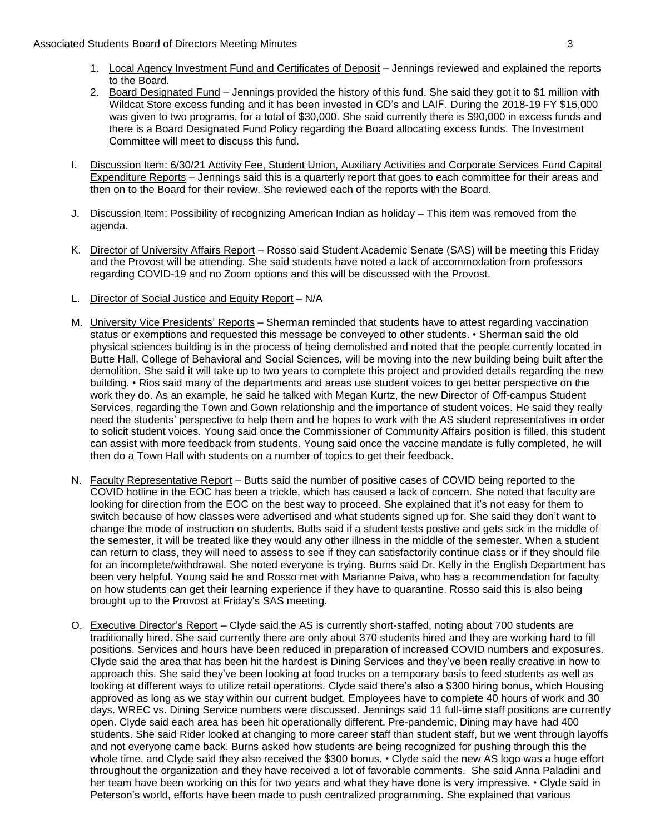- 1. Local Agency Investment Fund and Certificates of Deposit Jennings reviewed and explained the reports to the Board.
- 2. Board Designated Fund Jennings provided the history of this fund. She said they got it to \$1 million with Wildcat Store excess funding and it has been invested in CD's and LAIF. During the 2018-19 FY \$15,000 was given to two programs, for a total of \$30,000. She said currently there is \$90,000 in excess funds and there is a Board Designated Fund Policy regarding the Board allocating excess funds. The Investment Committee will meet to discuss this fund.
- I. Discussion Item: 6/30/21 Activity Fee, Student Union, Auxiliary Activities and Corporate Services Fund Capital Expenditure Reports – Jennings said this is a quarterly report that goes to each committee for their areas and then on to the Board for their review. She reviewed each of the reports with the Board.
- J. Discussion Item: Possibility of recognizing American Indian as holiday This item was removed from the agenda.
- K. Director of University Affairs Report Rosso said Student Academic Senate (SAS) will be meeting this Friday and the Provost will be attending. She said students have noted a lack of accommodation from professors regarding COVID-19 and no Zoom options and this will be discussed with the Provost.
- L. Director of Social Justice and Equity Report N/A
- M. University Vice Presidents' Reports Sherman reminded that students have to attest regarding vaccination status or exemptions and requested this message be conveyed to other students. • Sherman said the old physical sciences building is in the process of being demolished and noted that the people currently located in Butte Hall, College of Behavioral and Social Sciences, will be moving into the new building being built after the demolition. She said it will take up to two years to complete this project and provided details regarding the new building. • Rios said many of the departments and areas use student voices to get better perspective on the work they do. As an example, he said he talked with Megan Kurtz, the new Director of Off-campus Student Services, regarding the Town and Gown relationship and the importance of student voices. He said they really need the students' perspective to help them and he hopes to work with the AS student representatives in order to solicit student voices. Young said once the Commissioner of Community Affairs position is filled, this student can assist with more feedback from students. Young said once the vaccine mandate is fully completed, he will then do a Town Hall with students on a number of topics to get their feedback.
- N. Faculty Representative Report Butts said the number of positive cases of COVID being reported to the COVID hotline in the EOC has been a trickle, which has caused a lack of concern. She noted that faculty are looking for direction from the EOC on the best way to proceed. She explained that it's not easy for them to switch because of how classes were advertised and what students signed up for. She said they don't want to change the mode of instruction on students. Butts said if a student tests postive and gets sick in the middle of the semester, it will be treated like they would any other illness in the middle of the semester. When a student can return to class, they will need to assess to see if they can satisfactorily continue class or if they should file for an incomplete/withdrawal. She noted everyone is trying. Burns said Dr. Kelly in the English Department has been very helpful. Young said he and Rosso met with Marianne Paiva, who has a recommendation for faculty on how students can get their learning experience if they have to quarantine. Rosso said this is also being brought up to the Provost at Friday's SAS meeting.
- O. Executive Director's Report Clyde said the AS is currently short-staffed, noting about 700 students are traditionally hired. She said currently there are only about 370 students hired and they are working hard to fill positions. Services and hours have been reduced in preparation of increased COVID numbers and exposures. Clyde said the area that has been hit the hardest is Dining Services and they've been really creative in how to approach this. She said they've been looking at food trucks on a temporary basis to feed students as well as looking at different ways to utilize retail operations. Clyde said there's also a \$300 hiring bonus, which Housing approved as long as we stay within our current budget. Employees have to complete 40 hours of work and 30 days. WREC vs. Dining Service numbers were discussed. Jennings said 11 full-time staff positions are currently open. Clyde said each area has been hit operationally different. Pre-pandemic, Dining may have had 400 students. She said Rider looked at changing to more career staff than student staff, but we went through layoffs and not everyone came back. Burns asked how students are being recognized for pushing through this the whole time, and Clyde said they also received the \$300 bonus. • Clyde said the new AS logo was a huge effort throughout the organization and they have received a lot of favorable comments. She said Anna Paladini and her team have been working on this for two years and what they have done is very impressive. • Clyde said in Peterson's world, efforts have been made to push centralized programming. She explained that various